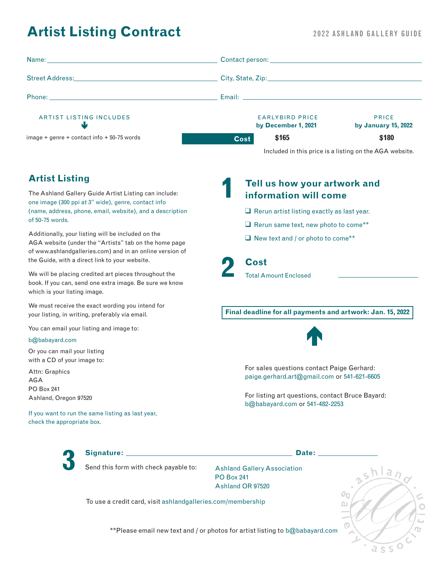# **Artist Listing Contract**

## 2022 ASHLAND GALLERY GUIDE

| Name: Name: Name: Name: Name: Name: Name: Name: Name: Name: Name: Name: Name: Name: Name: Name: Name: Name: Name: Name: Name: Name: Name: Name: Name: Name: Name: Name: Name: Name: Name: Name: Name: Name: Name: Name: Name: | Contact person: New York Contact Person:                   |                                     |
|-------------------------------------------------------------------------------------------------------------------------------------------------------------------------------------------------------------------------------|------------------------------------------------------------|-------------------------------------|
|                                                                                                                                                                                                                               |                                                            |                                     |
|                                                                                                                                                                                                                               |                                                            |                                     |
| <b>ARTIST LISTING INCLUDES</b>                                                                                                                                                                                                | <b>EARLYBIRD PRICE</b><br>by December 1, 2021              | <b>PRICE</b><br>by January 15, 2022 |
| $image + genre + contact info + 50-75 words$                                                                                                                                                                                  | \$165<br><b>Cost</b>                                       | \$180                               |
|                                                                                                                                                                                                                               | Included in this price is a listing on the AGA website.    |                                     |
| <b>Artist Listing</b><br>The Ashland Gallery Guide Artist Listing can include:                                                                                                                                                | Tell us how your artwork and                               |                                     |
| one image (300 ppi at 3" wide), genre, contact info                                                                                                                                                                           | information will come                                      |                                     |
| (name, address, phone, email, website), and a description<br>of 50-75 words.                                                                                                                                                  | $\Box$ Rerun artist listing exactly as last year.          |                                     |
|                                                                                                                                                                                                                               | $\Box$ Rerun same text, new photo to come**                |                                     |
| Additionally, your listing will be included on the<br>AGA website (under the "Artists" tab on the home page<br>of www.ashlandgalleries.com) and in an online version of                                                       | $\Box$ New text and / or photo to come**                   |                                     |
| the Guide, with a direct link to your website.                                                                                                                                                                                | Cost                                                       |                                     |
| We will be placing credited art pieces throughout the<br>book. If you can, send one extra image. Be sure we know<br>which is your listing image.                                                                              | <b>Total Amount Enclosed</b>                               |                                     |
| We must receive the exact wording you intend for<br>your listing, in writing, preferably via email.                                                                                                                           | Final deadline for all payments and artwork: Jan. 15, 2022 |                                     |
| You can email your listing and image to:                                                                                                                                                                                      |                                                            |                                     |
| b@babayard.com                                                                                                                                                                                                                |                                                            |                                     |

Or you can mail your listing with a CD of your image to:

Attn: Graphics AGA PO Box 241 Ashland, Oregon 97520

If you want to run the same listing as last year, check the appropriate box.



For listing art questions, contact Bruce Bayard: b@babayard.com or 541-482-2253



**Signature: Date: 3** Send this form with check payable to: Ashland Gallery Association

PO Box 241 Ashland OR 97520

To use a credit card, visit ashlandgalleries.com/membership



\*\*Please email new text and / or photos for artist listing to b@babayard.com